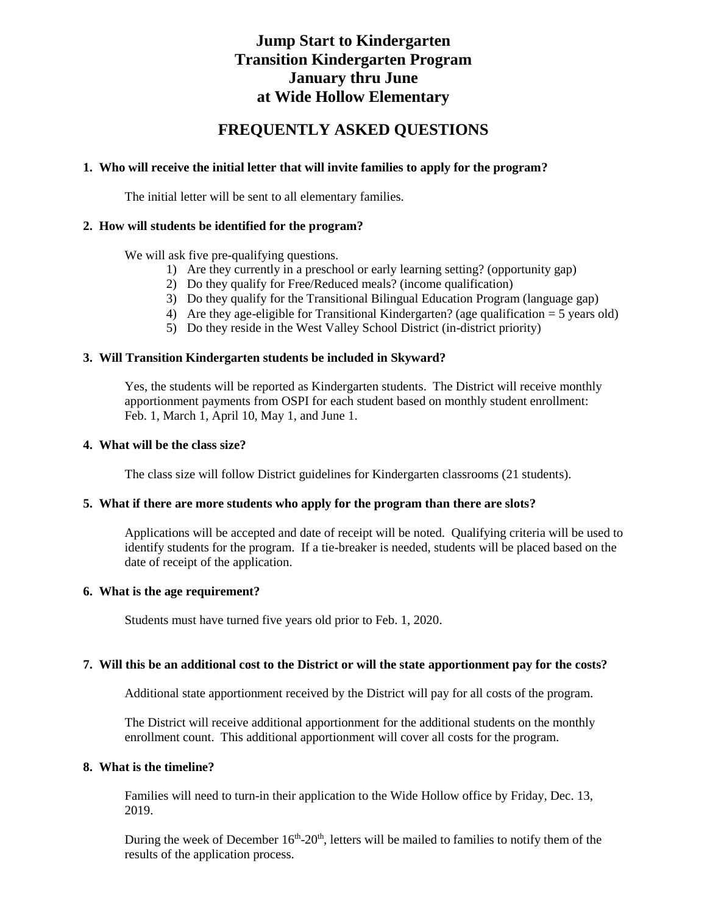# **Jump Start to Kindergarten Transition Kindergarten Program January thru June at Wide Hollow Elementary**

# **FREQUENTLY ASKED QUESTIONS**

## **1. Who will receive the initial letter that will invite families to apply for the program?**

The initial letter will be sent to all elementary families.

## **2. How will students be identified for the program?**

We will ask five pre-qualifying questions.

- 1) Are they currently in a preschool or early learning setting? (opportunity gap)
- 2) Do they qualify for Free/Reduced meals? (income qualification)
- 3) Do they qualify for the Transitional Bilingual Education Program (language gap)
- 4) Are they age-eligible for Transitional Kindergarten? (age qualification  $= 5$  years old)
- 5) Do they reside in the West Valley School District (in-district priority)

## **3. Will Transition Kindergarten students be included in Skyward?**

Yes, the students will be reported as Kindergarten students. The District will receive monthly apportionment payments from OSPI for each student based on monthly student enrollment: Feb. 1, March 1, April 10, May 1, and June 1.

## **4. What will be the class size?**

The class size will follow District guidelines for Kindergarten classrooms (21 students).

## **5. What if there are more students who apply for the program than there are slots?**

Applications will be accepted and date of receipt will be noted. Qualifying criteria will be used to identify students for the program. If a tie-breaker is needed, students will be placed based on the date of receipt of the application.

## **6. What is the age requirement?**

Students must have turned five years old prior to Feb. 1, 2020.

## **7. Will this be an additional cost to the District or will the state apportionment pay for the costs?**

Additional state apportionment received by the District will pay for all costs of the program.

The District will receive additional apportionment for the additional students on the monthly enrollment count. This additional apportionment will cover all costs for the program.

#### **8. What is the timeline?**

Families will need to turn-in their application to the Wide Hollow office by Friday, Dec. 13, 2019.

During the week of December  $16<sup>th</sup> - 20<sup>th</sup>$ , letters will be mailed to families to notify them of the results of the application process.